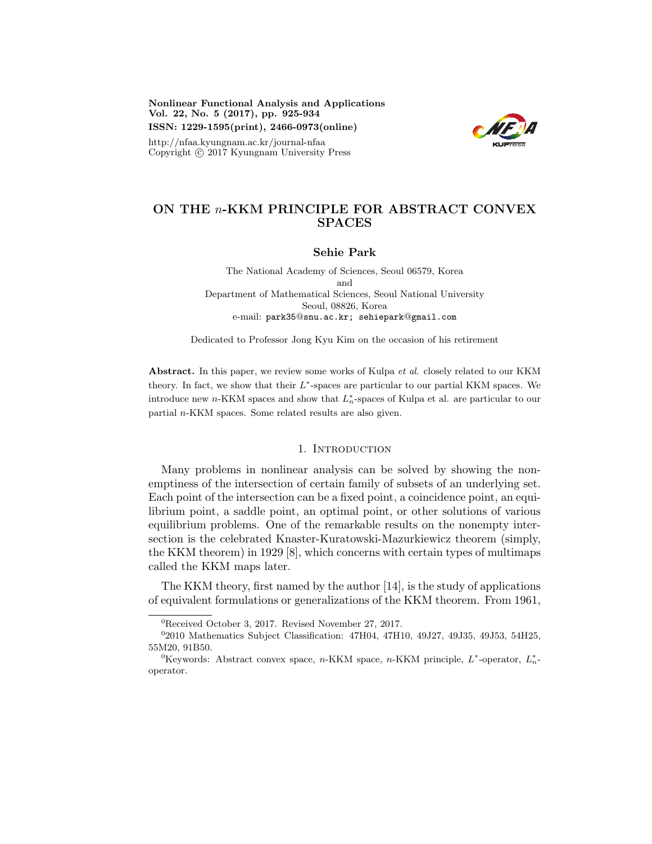Nonlinear Functional Analysis and Applications Vol. 22, No. 5 (2017), pp. 925-934 ISSN: 1229-1595(print), 2466-0973(online)

http://nfaa.kyungnam.ac.kr/journal-nfaa Copyright  $\odot$  2017 Kyungnam University Press



# ON THE n-KKM PRINCIPLE FOR ABSTRACT CONVEX SPACES

## Sehie Park

The National Academy of Sciences, Seoul 06579, Korea and Department of Mathematical Sciences, Seoul National University Seoul, 08826, Korea e-mail: park35@snu.ac.kr; sehiepark@gmail.com

Dedicated to Professor Jong Kyu Kim on the occasion of his retirement

Abstract. In this paper, we review some works of Kulpa *et al.* closely related to our KKM theory. In fact, we show that their  $L^*$ -spaces are particular to our partial KKM spaces. We introduce new n-KKM spaces and show that  $L_n^*$ -spaces of Kulpa et al. are particular to our partial n-KKM spaces. Some related results are also given.

## 1. INTRODUCTION

Many problems in nonlinear analysis can be solved by showing the nonemptiness of the intersection of certain family of subsets of an underlying set. Each point of the intersection can be a fixed point, a coincidence point, an equilibrium point, a saddle point, an optimal point, or other solutions of various equilibrium problems. One of the remarkable results on the nonempty intersection is the celebrated Knaster-Kuratowski-Mazurkiewicz theorem (simply, the KKM theorem) in 1929 [8], which concerns with certain types of multimaps called the KKM maps later.

The KKM theory, first named by the author [14], is the study of applications of equivalent formulations or generalizations of the KKM theorem. From 1961,

<sup>0</sup>Received October 3, 2017. Revised November 27, 2017.

<sup>0</sup> 2010 Mathematics Subject Classification: 47H04, 47H10, 49J27, 49J35, 49J53, 54H25, 55M20, 91B50.

<sup>&</sup>lt;sup>0</sup>Keywords: Abstract convex space, n-KKM space, n-KKM principle,  $L^*$ -operator,  $L^*_{n}$ operator.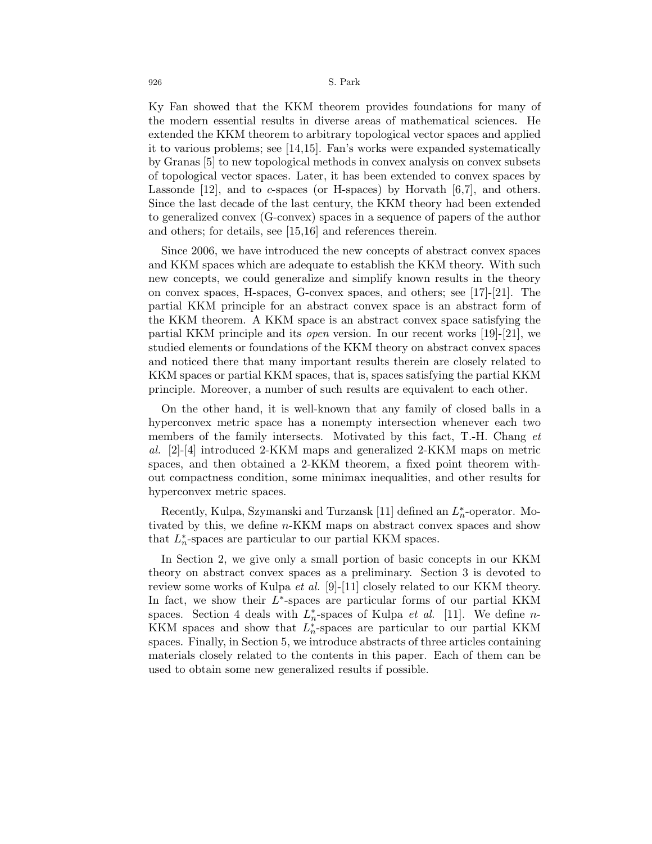Ky Fan showed that the KKM theorem provides foundations for many of the modern essential results in diverse areas of mathematical sciences. He extended the KKM theorem to arbitrary topological vector spaces and applied it to various problems; see [14,15]. Fan's works were expanded systematically by Granas [5] to new topological methods in convex analysis on convex subsets of topological vector spaces. Later, it has been extended to convex spaces by Lassonde  $[12]$ , and to c-spaces (or H-spaces) by Horvath  $[6,7]$ , and others. Since the last decade of the last century, the KKM theory had been extended to generalized convex (G-convex) spaces in a sequence of papers of the author and others; for details, see [15,16] and references therein.

Since 2006, we have introduced the new concepts of abstract convex spaces and KKM spaces which are adequate to establish the KKM theory. With such new concepts, we could generalize and simplify known results in the theory on convex spaces, H-spaces, G-convex spaces, and others; see [17]-[21]. The partial KKM principle for an abstract convex space is an abstract form of the KKM theorem. A KKM space is an abstract convex space satisfying the partial KKM principle and its open version. In our recent works [19]-[21], we studied elements or foundations of the KKM theory on abstract convex spaces and noticed there that many important results therein are closely related to KKM spaces or partial KKM spaces, that is, spaces satisfying the partial KKM principle. Moreover, a number of such results are equivalent to each other.

On the other hand, it is well-known that any family of closed balls in a hyperconvex metric space has a nonempty intersection whenever each two members of the family intersects. Motivated by this fact, T.-H. Chang et al. [2]-[4] introduced 2-KKM maps and generalized 2-KKM maps on metric spaces, and then obtained a 2-KKM theorem, a fixed point theorem without compactness condition, some minimax inequalities, and other results for hyperconvex metric spaces.

Recently, Kulpa, Szymanski and Turzansk $[11]$  defined an  $L_n^*$  -operator. Motivated by this, we define n-KKM maps on abstract convex spaces and show that  $L_n^*$ -spaces are particular to our partial KKM spaces.

In Section 2, we give only a small portion of basic concepts in our KKM theory on abstract convex spaces as a preliminary. Section 3 is devoted to review some works of Kulpa *et al.* [9]-[11] closely related to our KKM theory. In fact, we show their  $L^*$ -spaces are particular forms of our partial KKM spaces. Section 4 deals with  $L_n^*$ -spaces of Kulpa *et al.* [11]. We define *n*-KKM spaces and show that  $L_n^*$ -spaces are particular to our partial KKM spaces. Finally, in Section 5, we introduce abstracts of three articles containing materials closely related to the contents in this paper. Each of them can be used to obtain some new generalized results if possible.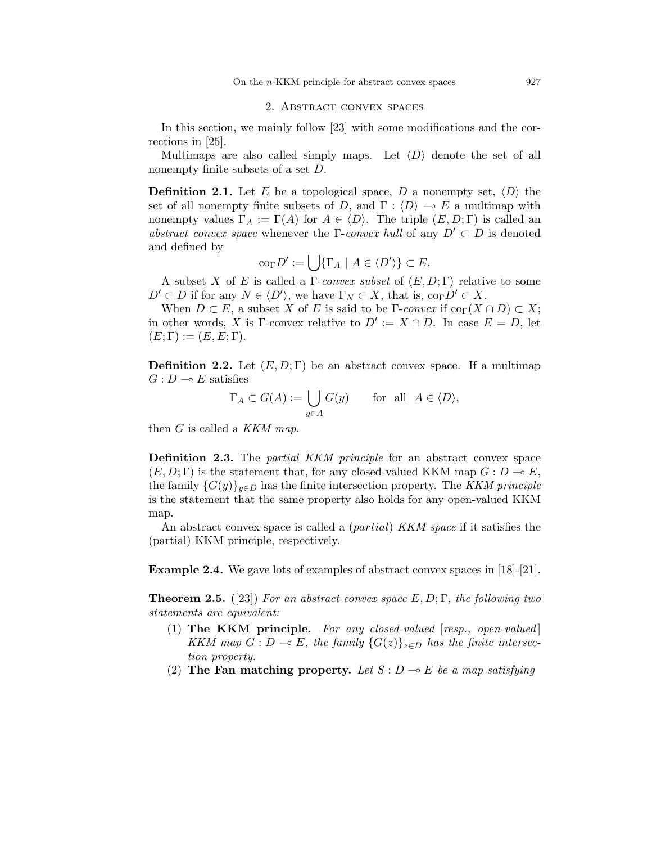### 2. Abstract convex spaces

In this section, we mainly follow [23] with some modifications and the corrections in [25].

Multimaps are also called simply maps. Let  $\langle D \rangle$  denote the set of all nonempty finite subsets of a set D.

**Definition 2.1.** Let E be a topological space, D a nonempty set,  $\langle D \rangle$  the set of all nonempty finite subsets of D, and  $\Gamma : \langle D \rangle \to E$  a multimap with nonempty values  $\Gamma_A := \Gamma(A)$  for  $A \in \langle D \rangle$ . The triple  $(E, D; \Gamma)$  is called an abstract convex space whenever the Γ-convex hull of any  $D' \subset D$  is denoted and defined by

$$
\mathrm{co}_{\Gamma} D' := \bigcup \{ \Gamma_A \mid A \in \langle D' \rangle \} \subset E.
$$

A subset X of E is called a  $\Gamma$ -convex subset of  $(E, D; \Gamma)$  relative to some  $D' \subset D$  if for any  $N \in \langle D' \rangle$ , we have  $\Gamma_N \subset X$ , that is,  $\text{co}_{\Gamma} D' \subset X$ .

When  $D \subset E$ , a subset X of E is said to be  $\Gamma$ -convex if  $\text{co}_{\Gamma}(X \cap D) \subset X$ ; in other words, X is Γ-convex relative to  $D' := X \cap D$ . In case  $E = D$ , let  $(E; \Gamma) := (E, E; \Gamma).$ 

**Definition 2.2.** Let  $(E, D; \Gamma)$  be an abstract convex space. If a multimap  $G: D \longrightarrow E$  satisfies

$$
\Gamma_A \subset G(A) := \bigcup_{y \in A} G(y) \quad \text{for all } A \in \langle D \rangle,
$$

then  $G$  is called a KKM map.

**Definition 2.3.** The *partial KKM principle* for an abstract convex space  $(E, D; \Gamma)$  is the statement that, for any closed-valued KKM map  $G: D \to E$ , the family  $\{G(y)\}_{y\in D}$  has the finite intersection property. The KKM principle is the statement that the same property also holds for any open-valued KKM map.

An abstract convex space is called a *(partial) KKM space* if it satisfies the (partial) KKM principle, respectively.

Example 2.4. We gave lots of examples of abstract convex spaces in [18]-[21].

**Theorem 2.5.** ([23]) For an abstract convex space E, D; Γ, the following two statements are equivalent:

- (1) The KKM principle. For any closed-valued  $[resp., open-valued]$ KKM map  $G: D \multimap E$ , the family  ${G(z)}_{z\in D}$  has the finite intersection property.
- (2) The Fan matching property. Let  $S: D \to E$  be a map satisfying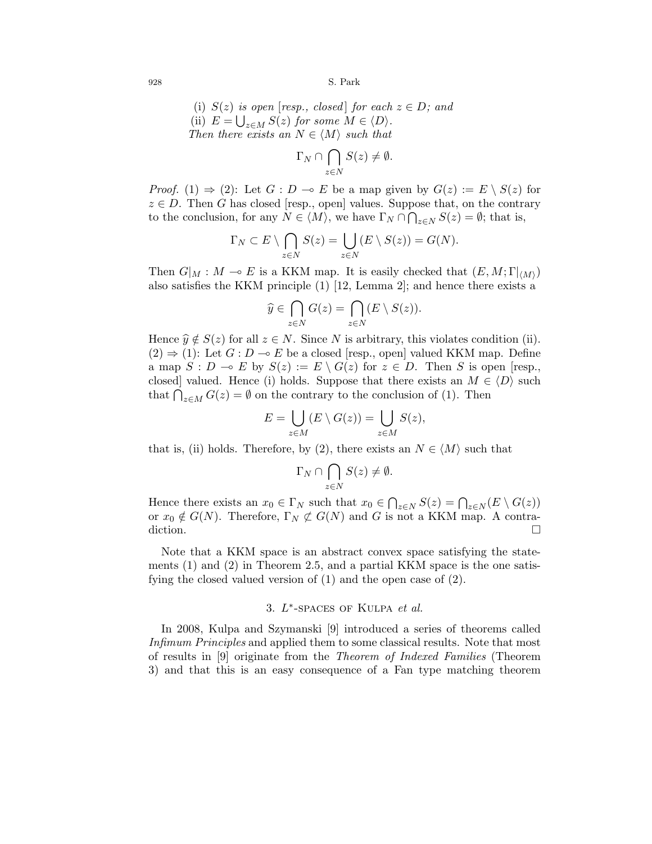(i)  $S(z)$  is open [resp., closed] for each  $z \in D$ ; and (ii)  $E = \bigcup_{z \in M} S(z)$  for some  $M \in \langle D \rangle$ . Then there exists an  $N \in \langle M \rangle$  such that

$$
\Gamma_N \cap \bigcap_{z \in N} S(z) \neq \emptyset.
$$

*Proof.* (1)  $\Rightarrow$  (2): Let  $G : D \multimap E$  be a map given by  $G(z) := E \setminus S(z)$  for  $z \in D$ . Then G has closed [resp., open] values. Suppose that, on the contrary to the conclusion, for any  $N \in \langle M \rangle$ , we have  $\Gamma_N \cap \bigcap_{z \in N} S(z) = \emptyset$ ; that is,

$$
\Gamma_N \subset E \setminus \bigcap_{z \in N} S(z) = \bigcup_{z \in N} (E \setminus S(z)) = G(N).
$$

Then  $G|_M : M \to E$  is a KKM map. It is easily checked that  $(E, M; \Gamma|_{\langle M \rangle})$ also satisfies the KKM principle (1) [12, Lemma 2]; and hence there exists a

$$
\widehat{y} \in \bigcap_{z \in N} G(z) = \bigcap_{z \in N} (E \setminus S(z)).
$$

Hence  $\hat{y} \notin S(z)$  for all  $z \in N$ . Since N is arbitrary, this violates condition (ii).  $(2) \Rightarrow (1)$ : Let  $G : D \rightarrow E$  be a closed [resp., open] valued KKM map. Define a map  $S : D \multimap E$  by  $S(z) := E \setminus G(z)$  for  $z \in D$ . Then S is open [resp., closed] valued. Hence (i) holds. Suppose that there exists an  $M \in \langle D \rangle$  such that  $\bigcap_{z \in M} G(z) = \emptyset$  on the contrary to the conclusion of (1). Then

$$
E = \bigcup_{z \in M} (E \setminus G(z)) = \bigcup_{z \in M} S(z),
$$

that is, (ii) holds. Therefore, by (2), there exists an  $N \in \langle M \rangle$  such that

$$
\Gamma_N \cap \bigcap_{z \in N} S(z) \neq \emptyset.
$$

Hence there exists an  $x_0 \in \Gamma_N$  such that  $x_0 \in \bigcap_{z \in N} S(z) = \bigcap_{z \in N} (E \setminus G(z))$ or  $x_0 \notin G(N)$ . Therefore,  $\Gamma_N \not\subset G(N)$  and G is not a KKM map. A contradiction.

Note that a KKM space is an abstract convex space satisfying the statements (1) and (2) in Theorem 2.5, and a partial KKM space is the one satisfying the closed valued version of (1) and the open case of (2).

# 3.  $L^*$ -SPACES OF KULPA et al.

In 2008, Kulpa and Szymanski [9] introduced a series of theorems called Infimum Principles and applied them to some classical results. Note that most of results in [9] originate from the Theorem of Indexed Families (Theorem 3) and that this is an easy consequence of a Fan type matching theorem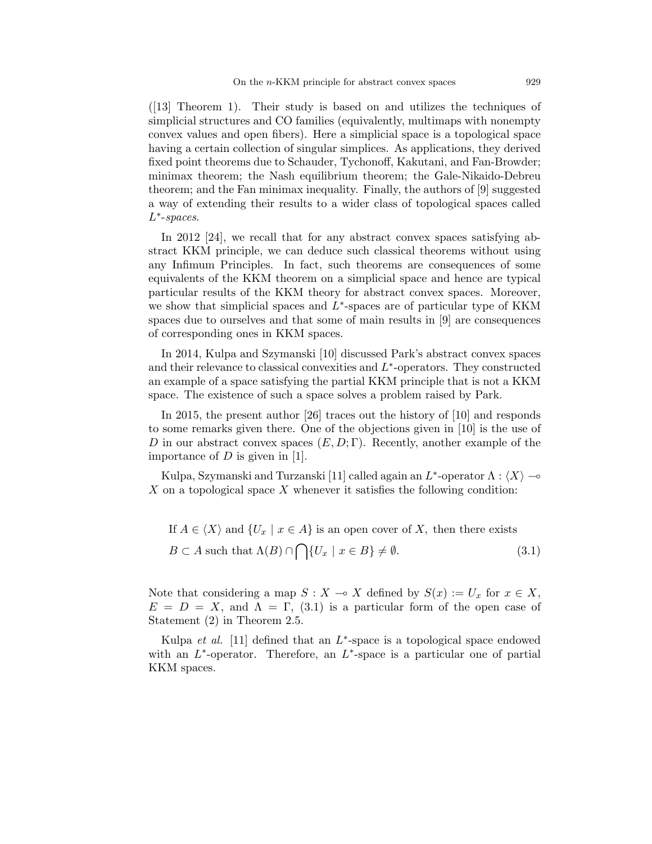([13] Theorem 1). Their study is based on and utilizes the techniques of simplicial structures and CO families (equivalently, multimaps with nonempty convex values and open fibers). Here a simplicial space is a topological space having a certain collection of singular simplices. As applications, they derived fixed point theorems due to Schauder, Tychonoff, Kakutani, and Fan-Browder; minimax theorem; the Nash equilibrium theorem; the Gale-Nikaido-Debreu theorem; and the Fan minimax inequality. Finally, the authors of [9] suggested a way of extending their results to a wider class of topological spaces called L ∗ -spaces.

In 2012 [24], we recall that for any abstract convex spaces satisfying abstract KKM principle, we can deduce such classical theorems without using any Infimum Principles. In fact, such theorems are consequences of some equivalents of the KKM theorem on a simplicial space and hence are typical particular results of the KKM theory for abstract convex spaces. Moreover, we show that simplicial spaces and  $L^*$ -spaces are of particular type of KKM spaces due to ourselves and that some of main results in [9] are consequences of corresponding ones in KKM spaces.

In 2014, Kulpa and Szymanski [10] discussed Park's abstract convex spaces and their relevance to classical convexities and  $L^*$ -operators. They constructed an example of a space satisfying the partial KKM principle that is not a KKM space. The existence of such a space solves a problem raised by Park.

In 2015, the present author [26] traces out the history of [10] and responds to some remarks given there. One of the objections given in [10] is the use of D in our abstract convex spaces  $(E, D; \Gamma)$ . Recently, another example of the importance of  $D$  is given in [1].

Kulpa, Szymanski and Turzanski [11] called again an  $L^*$ -operator  $\Lambda$  :  $\langle X \rangle$   $\rightarrow$  $X$  on a topological space  $X$  whenever it satisfies the following condition:

If 
$$
A \in \langle X \rangle
$$
 and  $\{U_x \mid x \in A\}$  is an open cover of X, then there exists  
\n $B \subset A$  such that  $\Lambda(B) \cap \bigcap \{U_x \mid x \in B\} \neq \emptyset$ . (3.1)

Note that considering a map  $S : X \to X$  defined by  $S(x) := U_x$  for  $x \in X$ ,  $E = D = X$ , and  $\Lambda = \Gamma$ , (3.1) is a particular form of the open case of Statement (2) in Theorem 2.5.

Kulpa et al. [11] defined that an  $L^*$ -space is a topological space endowed with an  $L^*$ -operator. Therefore, an  $L^*$ -space is a particular one of partial KKM spaces.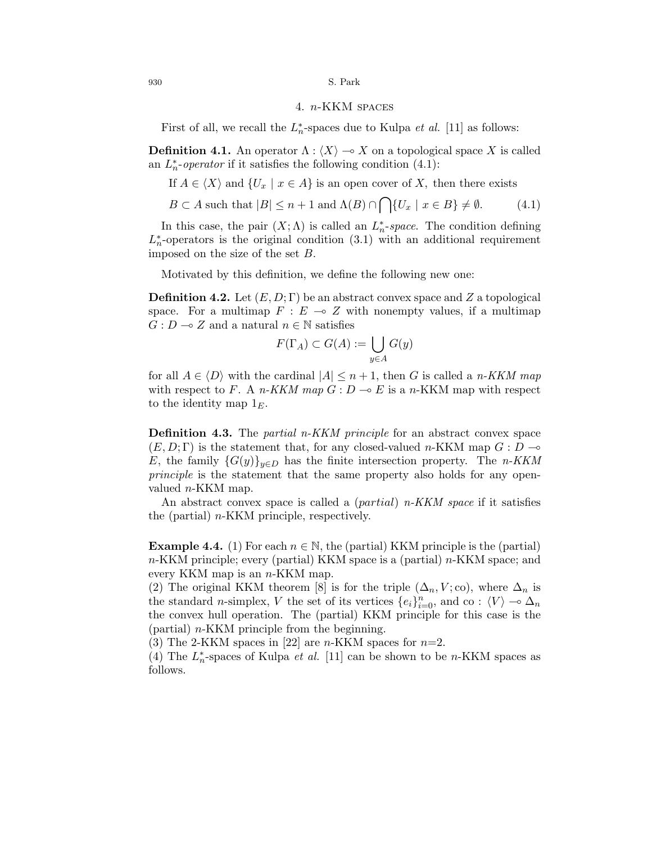### 4. n-KKM spaces

First of all, we recall the  $L_n^*$ -spaces due to Kulpa *et al.* [11] as follows:

**Definition 4.1.** An operator  $\Lambda : \langle X \rangle \to X$  on a topological space X is called an  $L_n^*$ -operator if it satisfies the following condition (4.1):

If  $A \in \langle X \rangle$  and  $\{U_x \mid x \in A\}$  is an open cover of X, then there exists

$$
B \subset A \text{ such that } |B| \le n + 1 \text{ and } \Lambda(B) \cap \bigcap \{U_x \mid x \in B\} \ne \emptyset. \tag{4.1}
$$

In this case, the pair  $(X; \Lambda)$  is called an  $L_n^*$ -space. The condition defining  $L_n^*$ -operators is the original condition (3.1) with an additional requirement imposed on the size of the set B.

Motivated by this definition, we define the following new one:

**Definition 4.2.** Let  $(E, D; \Gamma)$  be an abstract convex space and Z a topological space. For a multimap  $F : E \multimap Z$  with nonempty values, if a multimap  $G: D \longrightarrow Z$  and a natural  $n \in \mathbb{N}$  satisfies

$$
F(\Gamma_A) \subset G(A) := \bigcup_{y \in A} G(y)
$$

for all  $A \in \langle D \rangle$  with the cardinal  $|A| \leq n+1$ , then G is called a n-KKM map with respect to F. A n-KKM map  $G: D \to E$  is a n-KKM map with respect to the identity map  $1<sub>E</sub>$ .

Definition 4.3. The *partial n-KKM principle* for an abstract convex space  $(E, D; \Gamma)$  is the statement that, for any closed-valued n-KKM map  $G: D \rightarrow$ E, the family  $\{G(y)\}_{y\in D}$  has the finite intersection property. The *n*-KKM principle is the statement that the same property also holds for any openvalued  $n-KKM$  map.

An abstract convex space is called a  $(partial)$  *n-KKM space* if it satisfies the (partial) n-KKM principle, respectively.

**Example 4.4.** (1) For each  $n \in \mathbb{N}$ , the (partial) KKM principle is the (partial)  $n-KKM$  principle; every (partial) KKM space is a (partial)  $n-KKM$  space; and every KKM map is an n-KKM map.

(2) The original KKM theorem [8] is for the triple  $(\Delta_n, V; \text{co})$ , where  $\Delta_n$  is the standard *n*-simplex, V the set of its vertices  $\{e_i\}_{i=0}^n$ , and co :  $\langle V \rangle \to \Delta_n$ the convex hull operation. The (partial) KKM principle for this case is the (partial) n-KKM principle from the beginning.

(3) The 2-KKM spaces in [22] are *n*-KKM spaces for  $n=2$ .

(4) The  $L_n^*$ -spaces of Kulpa *et al.* [11] can be shown to be *n*-KKM spaces as follows.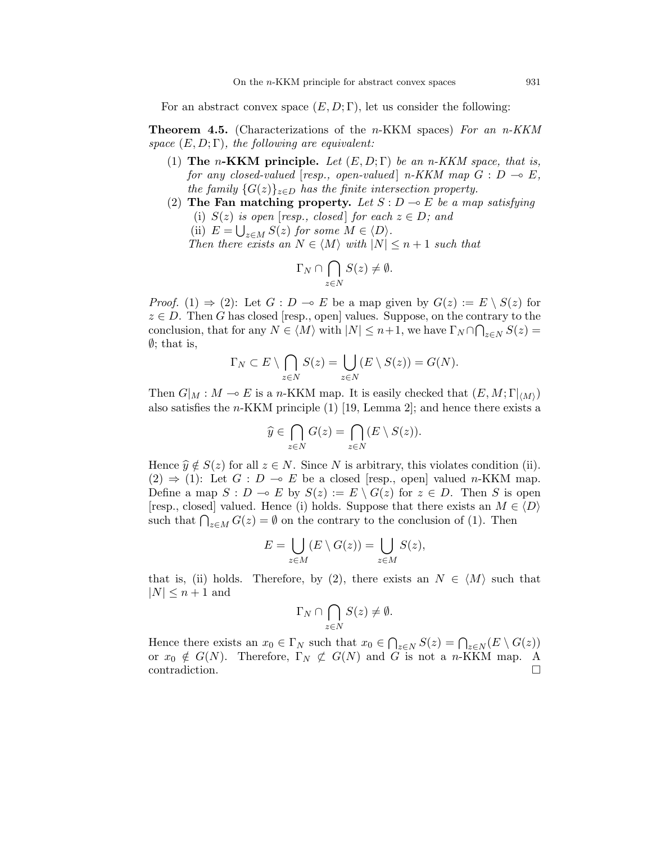For an abstract convex space  $(E, D; \Gamma)$ , let us consider the following:

**Theorem 4.5.** (Characterizations of the n-KKM spaces) For an  $n$ -KKM space  $(E, D; \Gamma)$ , the following are equivalent:

- (1) The n-KKM principle. Let  $(E, D; \Gamma)$  be an n-KKM space, that is, for any closed-valued [resp., open-valued] n-KKM map  $G : D \multimap E$ , the family  ${G(z)}_{z\in D}$  has the finite intersection property.
- (2) The Fan matching property. Let  $S: D \to E$  be a map satisfying (i)  $S(z)$  is open [resp., closed] for each  $z \in D$ ; and (ii)  $E = \bigcup_{z \in M} S(z)$  for some  $M \in \langle D \rangle$ . Then there exists an  $N \in \langle M \rangle$  with  $|N| \leq n+1$  such that

$$
\Gamma_N \cap \bigcap_{z \in N} S(z) \neq \emptyset.
$$

*Proof.* (1)  $\Rightarrow$  (2): Let  $G : D \multimap E$  be a map given by  $G(z) := E \setminus S(z)$  for  $z \in D$ . Then G has closed [resp., open] values. Suppose, on the contrary to the conclusion, that for any  $N \in \langle M \rangle$  with  $|N| \leq n+1$ , we have  $\Gamma_N \cap \bigcap_{z \in N} S(z) =$  $\emptyset$ ; that is,

$$
\Gamma_N \subset E \setminus \bigcap_{z \in N} S(z) = \bigcup_{z \in N} (E \setminus S(z)) = G(N).
$$

Then  $G|_M : M \to E$  is a n-KKM map. It is easily checked that  $(E, M; \Gamma|_{\langle M \rangle})$ also satisfies the *n*-KKM principle  $(1)$  [19, Lemma 2]; and hence there exists a

$$
\widehat{y} \in \bigcap_{z \in N} G(z) = \bigcap_{z \in N} (E \setminus S(z)).
$$

Hence  $\widehat{y} \notin S(z)$  for all  $z \in N$ . Since N is arbitrary, this violates condition (ii).  $(2) \Rightarrow (1)$ : Let  $G : D \multimap E$  be a closed [resp., open] valued n-KKM map. Define a map  $S : D \multimap E$  by  $S(z) := E \setminus G(z)$  for  $z \in D$ . Then S is open [resp., closed] valued. Hence (i) holds. Suppose that there exists an  $M \in \langle D \rangle$ such that  $\bigcap_{z \in M} G(z) = \emptyset$  on the contrary to the conclusion of (1). Then

$$
E = \bigcup_{z \in M} (E \setminus G(z)) = \bigcup_{z \in M} S(z),
$$

that is, (ii) holds. Therefore, by (2), there exists an  $N \in \langle M \rangle$  such that  $|N| \leq n+1$  and

$$
\Gamma_N \cap \bigcap_{z \in N} S(z) \neq \emptyset.
$$

Hence there exists an  $x_0 \in \Gamma_N$  such that  $x_0 \in \bigcap_{z \in N} S(z) = \bigcap_{z \in N} (E \setminus G(z))$ or  $x_0 \notin G(N)$ . Therefore,  $\Gamma_N \not\subset G(N)$  and G is not a n-KKM map. A contradiction.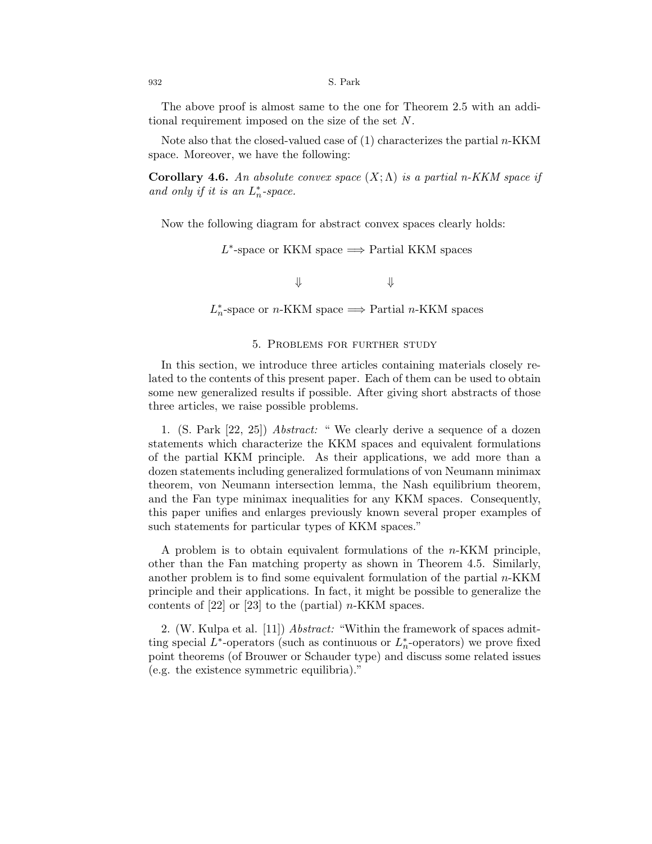The above proof is almost same to the one for Theorem 2.5 with an additional requirement imposed on the size of the set N.

Note also that the closed-valued case of  $(1)$  characterizes the partial n-KKM space. Moreover, we have the following:

Corollary 4.6. An absolute convex space  $(X; \Lambda)$  is a partial n-KKM space if and only if it is an  $L_n^*$ -space.

Now the following diagram for abstract convex spaces clearly holds:

 $L^*$ -space or KKM space  $\Longrightarrow$  Partial KKM spaces

 $\Downarrow$ 

 $L_n^*$ -space or *n*-KKM space  $\Longrightarrow$  Partial *n*-KKM spaces

### 5. Problems for further study

In this section, we introduce three articles containing materials closely related to the contents of this present paper. Each of them can be used to obtain some new generalized results if possible. After giving short abstracts of those three articles, we raise possible problems.

1. (S. Park [22, 25]) Abstract: " We clearly derive a sequence of a dozen statements which characterize the KKM spaces and equivalent formulations of the partial KKM principle. As their applications, we add more than a dozen statements including generalized formulations of von Neumann minimax theorem, von Neumann intersection lemma, the Nash equilibrium theorem, and the Fan type minimax inequalities for any KKM spaces. Consequently, this paper unifies and enlarges previously known several proper examples of such statements for particular types of KKM spaces."

A problem is to obtain equivalent formulations of the  $n$ -KKM principle, other than the Fan matching property as shown in Theorem 4.5. Similarly, another problem is to find some equivalent formulation of the partial  $n-KKM$ principle and their applications. In fact, it might be possible to generalize the contents of  $[22]$  or  $[23]$  to the (partial) *n*-KKM spaces.

2. (W. Kulpa et al. [11]) Abstract: "Within the framework of spaces admitting special  $L^*$ -operators (such as continuous or  $L_n^*$ -operators) we prove fixed point theorems (of Brouwer or Schauder type) and discuss some related issues (e.g. the existence symmetric equilibria)."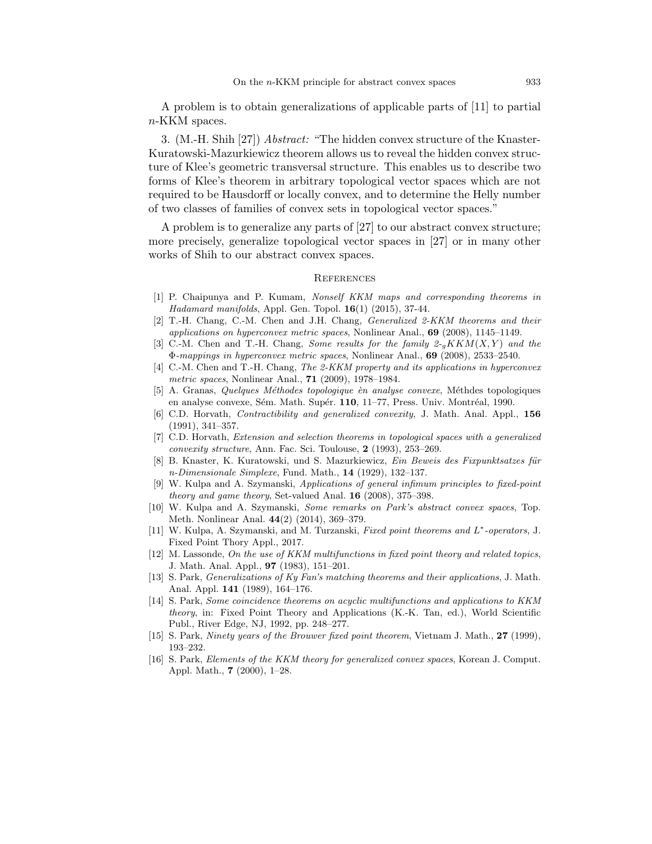A problem is to obtain generalizations of applicable parts of [11] to partial n-KKM spaces.

3. (M.-H. Shih [27]) Abstract: "The hidden convex structure of the Knaster-Kuratowski-Mazurkiewicz theorem allows us to reveal the hidden convex structure of Klee's geometric transversal structure. This enables us to describe two forms of Klee's theorem in arbitrary topological vector spaces which are not required to be Hausdorff or locally convex, and to determine the Helly number of two classes of families of convex sets in topological vector spaces."

A problem is to generalize any parts of [27] to our abstract convex structure; more precisely, generalize topological vector spaces in [27] or in many other works of Shih to our abstract convex spaces.

### **REFERENCES**

- [1] P. Chaipunya and P. Kumam, Nonself KKM maps and corresponding theorems in Hadamard manifolds, Appl. Gen. Topol.  $16(1)$  (2015), 37-44.
- [2] T.-H. Chang, C.-M. Chen and J.H. Chang, Generalized 2-KKM theorems and their applications on hyperconvex metric spaces, Nonlinear Anal., 69 (2008), 1145–1149.
- [3] C.-M. Chen and T.-H. Chang, Some results for the family  $2-gKKM(X, Y)$  and the Φ-mappings in hyperconvex metric spaces, Nonlinear Anal., 69 (2008), 2533–2540.
- [4] C.-M. Chen and T.-H. Chang, The 2-KKM property and its applications in hyperconvex metric spaces, Nonlinear Anal., 71 (2009), 1978–1984.
- [5] A. Granas, Quelques Méthodes topologique èn analyse convexe, Méthodes topologiques en analyse convexe, Sém. Math. Supér.  $110$ ,  $11–77$ , Press. Univ. Montréal, 1990.
- [6] C.D. Horvath, *Contractibility and generalized convexity*, J. Math. Anal. Appl., 156 (1991), 341–357.
- [7] C.D. Horvath, Extension and selection theorems in topological spaces with a generalized convexity structure, Ann. Fac. Sci. Toulouse, 2 (1993), 253–269.
- [8] B. Knaster, K. Kuratowski, und S. Mazurkiewicz, Ein Beweis des Fixpunktsatzes für n-Dimensionale Simplexe, Fund. Math., 14 (1929), 132–137.
- [9] W. Kulpa and A. Szymanski, Applications of general infimum principles to fixed-point theory and game theory, Set-valued Anal. 16 (2008), 375–398.
- [10] W. Kulpa and A. Szymanski, Some remarks on Park's abstract convex spaces, Top. Meth. Nonlinear Anal. 44(2) (2014), 369–379.
- [11] W. Kulpa, A. Szymanski, and M. Turzanski, Fixed point theorems and L<sup>\*</sup>-operators, J. Fixed Point Thory Appl., 2017.
- [12] M. Lassonde, On the use of KKM multifunctions in fixed point theory and related topics, J. Math. Anal. Appl., 97 (1983), 151–201.
- [13] S. Park, Generalizations of Ky Fan's matching theorems and their applications, J. Math. Anal. Appl. 141 (1989), 164–176.
- [14] S. Park, Some coincidence theorems on acyclic multifunctions and applications to KKM theory, in: Fixed Point Theory and Applications (K.-K. Tan, ed.), World Scientific Publ., River Edge, NJ, 1992, pp. 248–277.
- [15] S. Park, Ninety years of the Brouwer fixed point theorem, Vietnam J. Math., 27 (1999), 193–232.
- [16] S. Park, Elements of the KKM theory for generalized convex spaces, Korean J. Comput. Appl. Math., 7 (2000), 1–28.